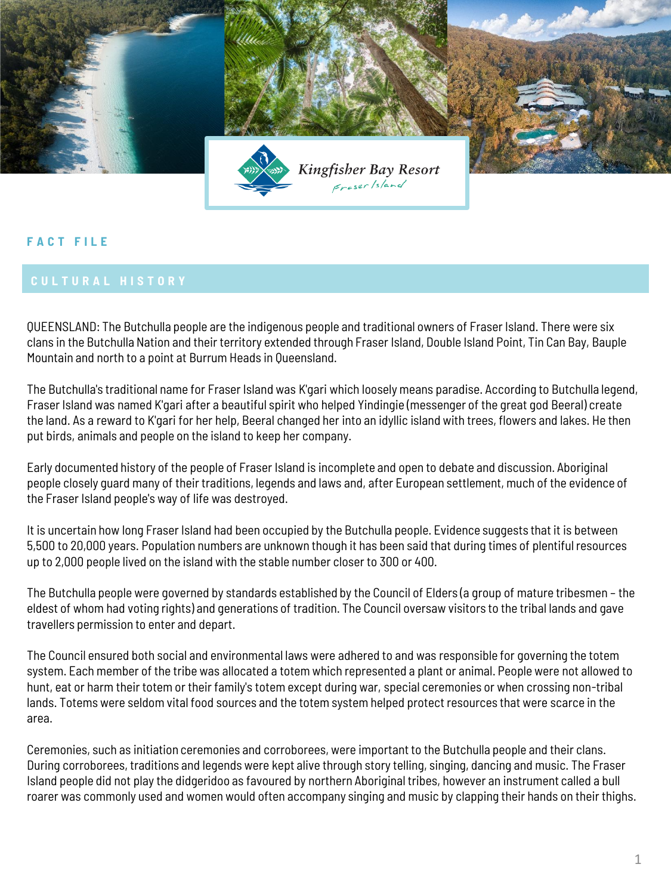

## **F A C T F I L E**

QUEENSLAND: The Butchulla people are the indigenous people and traditional owners of Fraser Island. There were six clans in the Butchulla Nation and their territory extended through Fraser Island, Double Island Point, Tin Can Bay, Bauple Mountain and north to a point at Burrum Heads in Queensland.

The Butchulla's traditional name for Fraser Island was K'gari which loosely means paradise. According to Butchulla legend, Fraser Island was named K'gari after a beautiful spirit who helped Yindingie (messenger of the great god Beeral) create the land. As a reward to K'gari for her help, Beeral changed her into an idyllic island with trees, flowers and lakes. He then put birds, animals and people on the island to keep her company.

Early documented history of the people of Fraser Island is incomplete and open to debate and discussion. Aboriginal people closely guard many of their traditions, legends and laws and, after European settlement, much of the evidence of the Fraser Island people's way of life was destroyed.

It is uncertain how long Fraser Island had been occupied by the Butchulla people. Evidence suggests that it is between 5,500 to 20,000 years. Population numbers are unknown though it has been said that during times of plentiful resources up to 2,000 people lived on the island with the stable number closer to 300 or 400.

The Butchulla people were governed by standards established by the Council of Elders (a group of mature tribesmen – the eldest of whom had voting rights) and generations of tradition. The Council oversaw visitors to the tribal lands and gave travellers permission to enter and depart.

The Council ensured both social and environmental laws were adhered to and was responsible for governing the totem system. Each member of the tribe was allocated a totem which represented a plant or animal. People were not allowed to hunt, eat or harm their totem or their family's totem except during war, special ceremonies or when crossing non-tribal lands. Totems were seldom vital food sources and the totem system helped protect resources that were scarce in the area.

Ceremonies, such as initiation ceremonies and corroborees, were important to the Butchulla people and their clans. During corroborees, traditions and legends were kept alive through story telling, singing, dancing and music. The Fraser Island people did not play the didgeridoo as favoured by northern Aboriginal tribes, however an instrument called a bull roarer was commonly used and women would often accompany singing and music by clapping their hands on their thighs.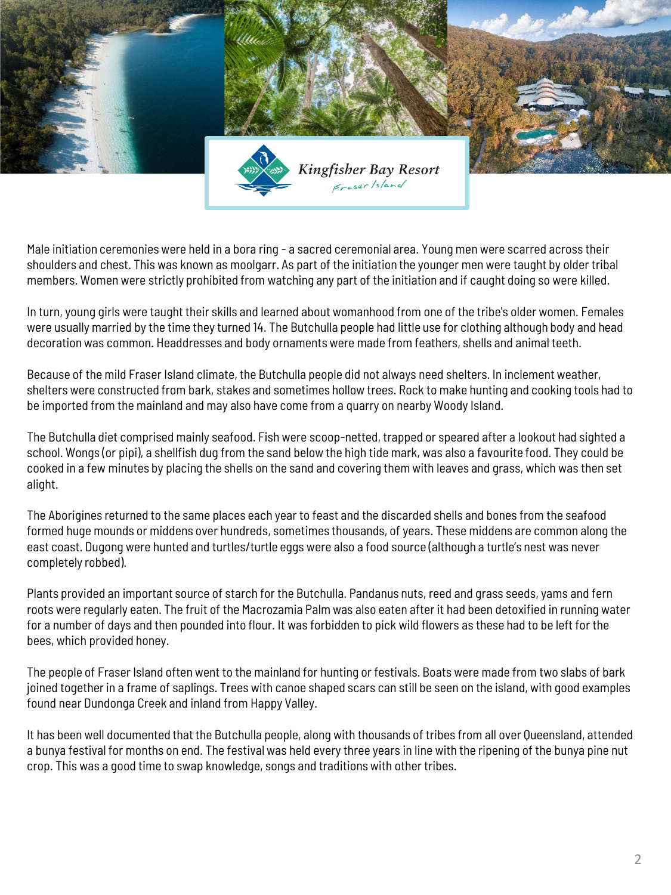

Male initiation ceremonies were held in a bora ring - a sacred ceremonial area. Young men were scarred across their shoulders and chest. This was known as moolgarr. As part of the initiation the younger men were taught by older tribal members. Women were strictly prohibited from watching any part of the initiation and if caught doing so were killed.

In turn, young girls were taught their skills and learned about womanhood from one of the tribe's older women. Females were usually married by the time they turned 14. The Butchulla people had little use for clothing although body and head decoration was common. Headdresses and body ornaments were made from feathers, shells and animal teeth.

Because of the mild Fraser Island climate, the Butchulla people did not always need shelters. In inclement weather, shelters were constructed from bark, stakes and sometimes hollow trees. Rock to make hunting and cooking tools had to be imported from the mainland and may also have come from a quarry on nearby Woody Island.

The Butchulla diet comprised mainly seafood. Fish were scoop-netted, trapped or speared after a lookout had sighted a school. Wongs (or pipi), a shellfish dug from the sand below the high tide mark, was also a favourite food. They could be cooked in a few minutes by placing the shells on the sand and covering them with leaves and grass, which was then set alight.

The Aborigines returned to the same places each year to feast and the discarded shells and bones from the seafood formed huge mounds or middens over hundreds, sometimes thousands, of years. These middens are common along the east coast. Dugong were hunted and turtles/turtle eggs were also a food source (although a turtle's nest was never completely robbed).

Plants provided an important source of starch for the Butchulla. Pandanus nuts, reed and grass seeds, yams and fern roots were regularly eaten. The fruit of the Macrozamia Palm was also eaten after it had been detoxified in running water for a number of days and then pounded into flour. It was forbidden to pick wild flowers as these had to be left for the bees, which provided honey.

The people of Fraser Island often went to the mainland for hunting or festivals. Boats were made from two slabs of bark joined together in a frame of saplings. Trees with canoe shaped scars can still be seen on the island, with good examples found near Dundonga Creek and inland from Happy Valley.

It has been well documented that the Butchulla people, along with thousands of tribes from all over Queensland, attended a bunya festival for months on end. The festival was held every three years in line with the ripening of the bunya pine nut crop. This was a good time to swap knowledge, songs and traditions with other tribes.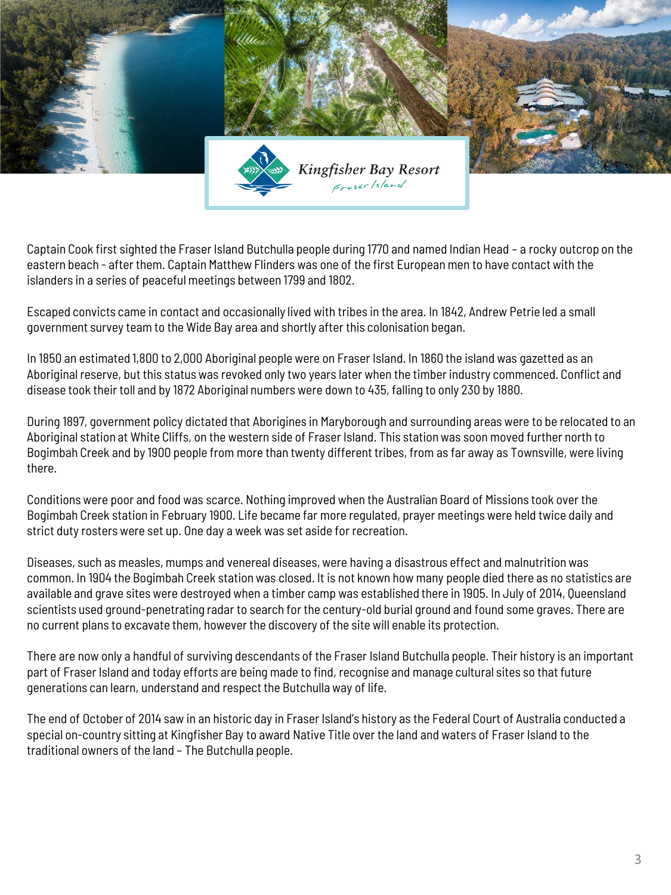

Captain Cook first sighted the Fraser Island Butchulla people during 1770 and named Indian Head – a rocky outcrop on the eastern beach - after them. Captain Matthew Flinders was one of the first European men to have contact with the islanders in a series of peaceful meetings between 1799 and 1802.

Escaped convicts came in contact and occasionally lived with tribes in the area. In 1842, Andrew Petrie led a small government survey team to the Wide Bay area and shortly after this colonisation began.

In 1850 an estimated 1,800 to 2,000 Aboriginal people were on Fraser Island. In 1860 the island was gazetted as an Aboriginal reserve, but this status was revoked only two years later when the timber industry commenced. Conflict and disease took their toll and by 1872 Aboriginal numbers were down to 435, falling to only 230 by 1880.

During 1897, government policy dictated that Aborigines in Maryborough and surrounding areas were to be relocated to an Aboriginal station at White Cliffs, on the western side of Fraser Island. This station was soon moved further north to Bogimbah Creek and by 1900 people from more than twenty different tribes, from as far away as Townsville, were living there.

Conditions were poor and food was scarce. Nothing improved when the Australian Board of Missions took over the Bogimbah Creek station in February 1900. Life became far more regulated, prayer meetings were held twice daily and strict duty rosters were set up. One day a week was set aside for recreation.

Diseases, such as measles, mumps and venereal diseases, were having a disastrous effect and malnutrition was common. In 1904 the Bogimbah Creek station was closed. It is not known how many people died there as no statistics are available and grave sites were destroyed when a timber camp was established there in 1905. In July of 2014, Queensland scientists used ground-penetrating radar to search for the century-old burial ground and found some graves. There are no current plans to excavate them, however the discovery of the site will enable its protection.

There are now only a handful of surviving descendants of the Fraser Island Butchulla people. Their history is an important part of Fraser Island and today efforts are being made to find, recognise and manage cultural sites so that future generations can learn, understand and respect the Butchulla way of life.

The end of October of 2014 saw in an historic day in Fraser Island's history as the Federal Court of Australia conducted a special on-country sitting at Kingfisher Bay to award Native Title over the land and waters of Fraser Island to the traditional owners of the land – The Butchulla people.